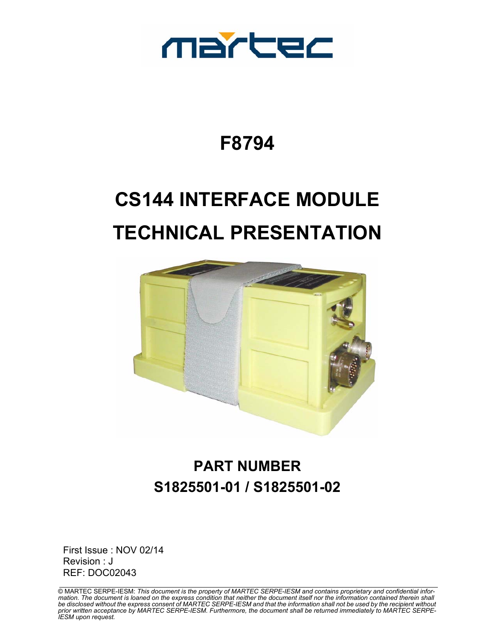

## **F8794**

# **CS144 INTERFACE MODULE TECHNICAL PRESENTATION**



**PART NUMBER S1825501-01 / S1825501-02**

First Issue : NOV 02/14 Revision : J REF: DOC02043

© MARTEC SERPE-IESM: *This document is the property of MARTEC SERPE-IESM and contains proprietary and confidential information. The document is loaned on the express condition that neither the document itself nor the information contained therein shall be disclosed without the express consent of MARTEC SERPE-IESM and that the information shall not be used by the recipient without prior written acceptance by MARTEC SERPE-IESM. Furthermore, the document shall be returned immediately to MARTEC SERPE-IESM upon request.*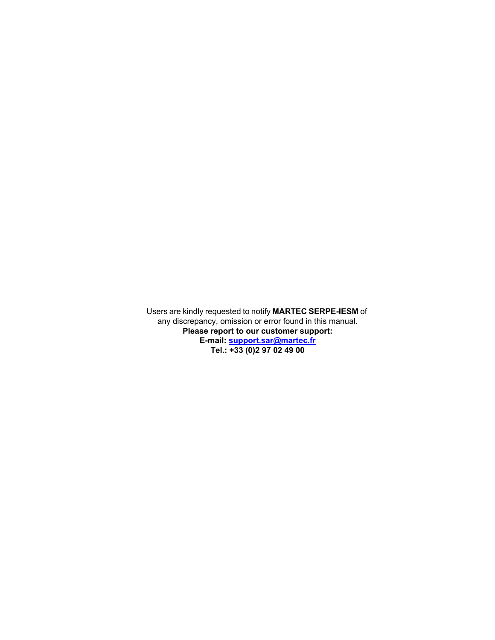Users are kindly requested to notify **MARTEC SERPE-IESM** of any discrepancy, omission or error found in this manual. **Please report to our customer support: E-mail: [support.sar@martec.fr](mailto: support.sar@martec.fr) Tel.: +33 (0)2 97 02 49 00**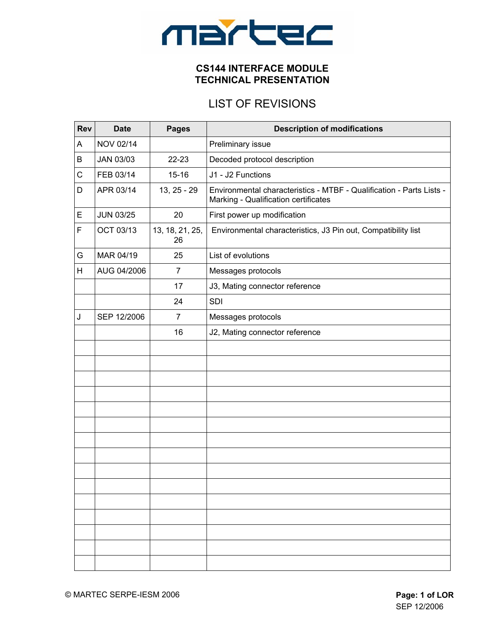

### LIST OF REVISIONS

| <b>Rev</b>  | <b>Date</b>      | <b>Pages</b>          | <b>Description of modifications</b>                                                                          |  |  |  |  |  |
|-------------|------------------|-----------------------|--------------------------------------------------------------------------------------------------------------|--|--|--|--|--|
| Α           | <b>NOV 02/14</b> |                       | Preliminary issue                                                                                            |  |  |  |  |  |
| В           | JAN 03/03        | 22-23                 | Decoded protocol description                                                                                 |  |  |  |  |  |
| C           | FEB 03/14        | $15 - 16$             | J1 - J2 Functions                                                                                            |  |  |  |  |  |
| D           | APR 03/14        | 13, 25 - 29           | Environmental characteristics - MTBF - Qualification - Parts Lists -<br>Marking - Qualification certificates |  |  |  |  |  |
| E           | <b>JUN 03/25</b> | 20                    | First power up modification                                                                                  |  |  |  |  |  |
| $\mathsf F$ | OCT 03/13        | 13, 18, 21, 25,<br>26 | Environmental characteristics, J3 Pin out, Compatibility list                                                |  |  |  |  |  |
| G           | MAR 04/19        | 25                    | List of evolutions                                                                                           |  |  |  |  |  |
| H           | AUG 04/2006      | $\overline{7}$        | Messages protocols                                                                                           |  |  |  |  |  |
|             |                  | 17                    | J3, Mating connector reference                                                                               |  |  |  |  |  |
|             |                  | 24                    | SDI                                                                                                          |  |  |  |  |  |
| J           | SEP 12/2006      | $\overline{7}$        | Messages protocols                                                                                           |  |  |  |  |  |
|             |                  | 16                    | J2, Mating connector reference                                                                               |  |  |  |  |  |
|             |                  |                       |                                                                                                              |  |  |  |  |  |
|             |                  |                       |                                                                                                              |  |  |  |  |  |
|             |                  |                       |                                                                                                              |  |  |  |  |  |
|             |                  |                       |                                                                                                              |  |  |  |  |  |
|             |                  |                       |                                                                                                              |  |  |  |  |  |
|             |                  |                       |                                                                                                              |  |  |  |  |  |
|             |                  |                       |                                                                                                              |  |  |  |  |  |
|             |                  |                       |                                                                                                              |  |  |  |  |  |
|             |                  |                       |                                                                                                              |  |  |  |  |  |
|             |                  |                       |                                                                                                              |  |  |  |  |  |
|             |                  |                       |                                                                                                              |  |  |  |  |  |
|             |                  |                       |                                                                                                              |  |  |  |  |  |
|             |                  |                       |                                                                                                              |  |  |  |  |  |
|             |                  |                       |                                                                                                              |  |  |  |  |  |
|             |                  |                       |                                                                                                              |  |  |  |  |  |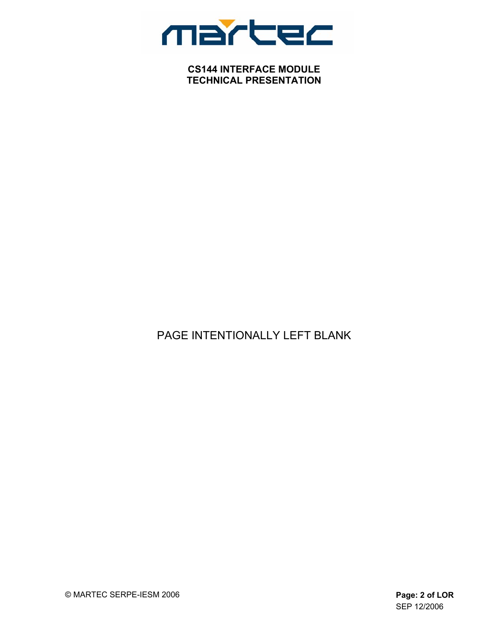

PAGE INTENTIONALLY LEFT BLANK

© MARTEC SERPE-IESM 2006

**Page: 2 of LOR** SEP 12/2006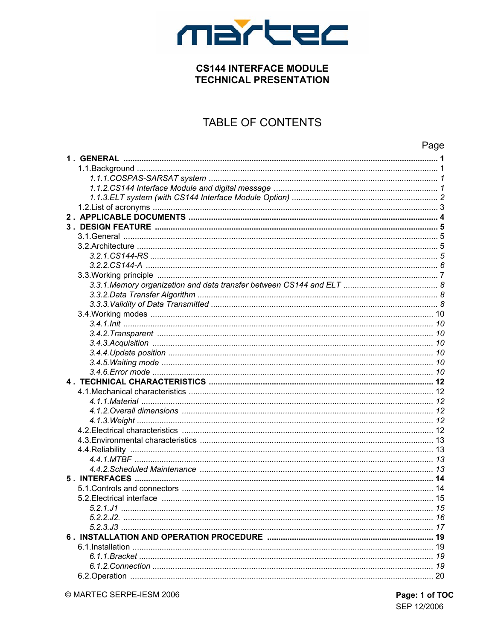

### **TABLE OF CONTENTS**

| Page |
|------|
|      |
|      |
|      |
|      |
|      |
|      |
|      |
|      |
|      |
|      |
|      |
|      |
|      |
|      |
|      |
|      |
|      |
|      |
|      |
|      |
|      |
|      |
|      |
|      |
|      |
|      |
|      |
|      |
|      |
|      |
|      |
|      |
|      |
|      |
|      |
|      |
|      |
|      |
|      |
|      |
|      |
|      |
|      |
|      |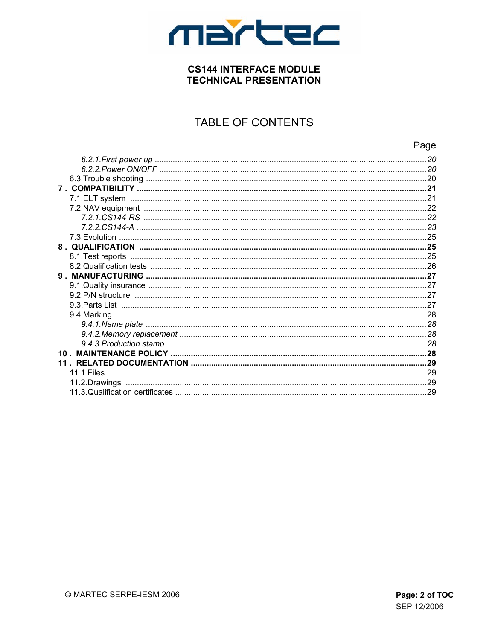<span id="page-5-0"></span>

### **TABLE OF CONTENTS**

| ۰.<br>×<br>٧<br>۰. |
|--------------------|
|--------------------|

|            | 20  |
|------------|-----|
|            |     |
|            | .20 |
|            | .21 |
|            | 21  |
|            | .22 |
|            | .22 |
|            |     |
|            |     |
|            |     |
|            |     |
|            |     |
|            |     |
|            | .27 |
|            |     |
|            |     |
|            |     |
|            |     |
|            |     |
|            |     |
|            | .28 |
| 11         | .29 |
| 11 1 Files | .29 |
|            | .29 |
|            | .29 |
|            |     |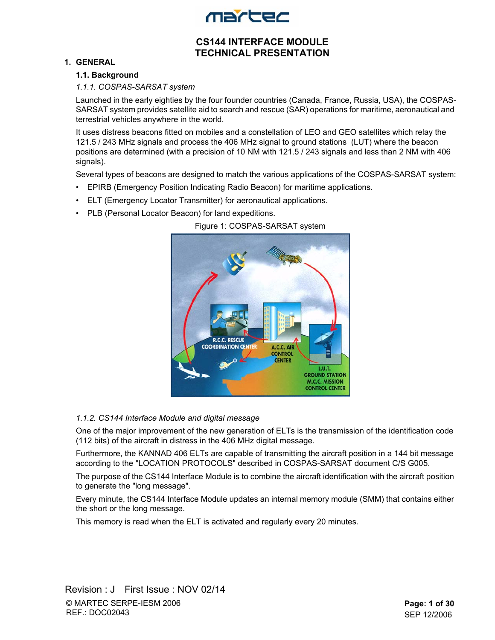

### <span id="page-6-0"></span>**1. GENERAL**

#### <span id="page-6-1"></span>**1.1. Background**

<span id="page-6-2"></span>*1.1.1. COSPAS-SARSAT system*

Launched in the early eighties by the four founder countries (Canada, France, Russia, USA), the COSPAS-SARSAT system provides satellite aid to search and rescue (SAR) operations for maritime, aeronautical and terrestrial vehicles anywhere in the world.

It uses distress beacons fitted on mobiles and a constellation of LEO and GEO satellites which relay the 121.5 / 243 MHz signals and process the 406 MHz signal to ground stations (LUT) where the beacon positions are determined (with a precision of 10 NM with 121.5 / 243 signals and less than 2 NM with 406 signals).

Several types of beacons are designed to match the various applications of the COSPAS-SARSAT system:

- EPIRB (Emergency Position Indicating Radio Beacon) for maritime applications.
- ELT (Emergency Locator Transmitter) for aeronautical applications.
- PLB (Personal Locator Beacon) for land expeditions.



Figure 1: COSPAS-SARSAT system

### <span id="page-6-3"></span>*1.1.2. CS144 Interface Module and digital message*

One of the major improvement of the new generation of ELTs is the transmission of the identification code (112 bits) of the aircraft in distress in the 406 MHz digital message.

Furthermore, the KANNAD 406 ELTs are capable of transmitting the aircraft position in a 144 bit message according to the "LOCATION PROTOCOLS" described in COSPAS-SARSAT document C/S G005.

The purpose of the CS144 Interface Module is to combine the aircraft identification with the aircraft position to generate the "long message".

Every minute, the CS144 Interface Module updates an internal memory module (SMM) that contains either the short or the long message.

This memory is read when the ELT is activated and regularly every 20 minutes.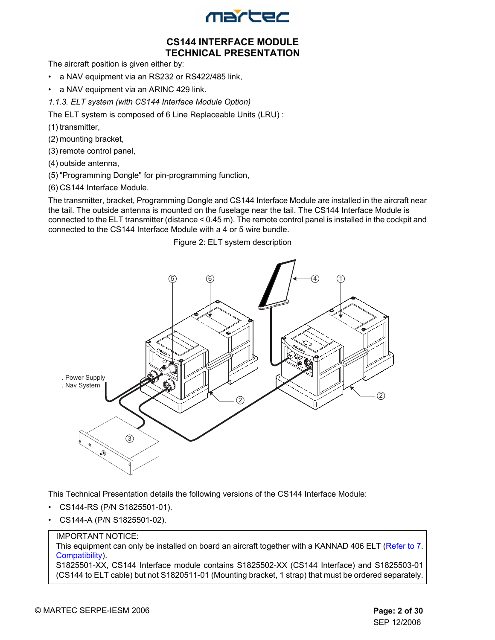

The aircraft position is given either by:

- a NAV equipment via an RS232 or RS422/485 link,
- a NAV equipment via an ARINC 429 link.

<span id="page-7-0"></span>*1.1.3. ELT system (with CS144 Interface Module Option)*

The ELT system is composed of 6 Line Replaceable Units (LRU) :

(1) transmitter,

(2) mounting bracket,

(3) remote control panel,

(4) outside antenna,

(5) "Programming Dongle" for pin-programming function,

(6) CS144 Interface Module.

The transmitter, bracket, Programming Dongle and CS144 Interface Module are installed in the aircraft near the tail. The outside antenna is mounted on the fuselage near the tail. The CS144 Interface Module is connected to the ELT transmitter (distance < 0.45 m). The remote control panel is installed in the cockpit and connected to the CS144 Interface Module with a 4 or 5 wire bundle.

#### Figure 2: ELT system description



This Technical Presentation details the following versions of the CS144 Interface Module:

- CS144-RS (P/N S1825501-01).
- CS144-A (P/N S1825501-02).

#### IMPORTANT NOTICE:

This equipment can only be installed on board an aircraft together with a KANNAD 406 ELT [\(Refer to 7.](#page-26-0) [Compatibility\)](#page-26-0).

S1825501-XX, CS144 Interface module contains S1825502-XX (CS144 Interface) and S1825503-01 (CS144 to ELT cable) but not S1820511-01 (Mounting bracket, 1 strap) that must be ordered separately.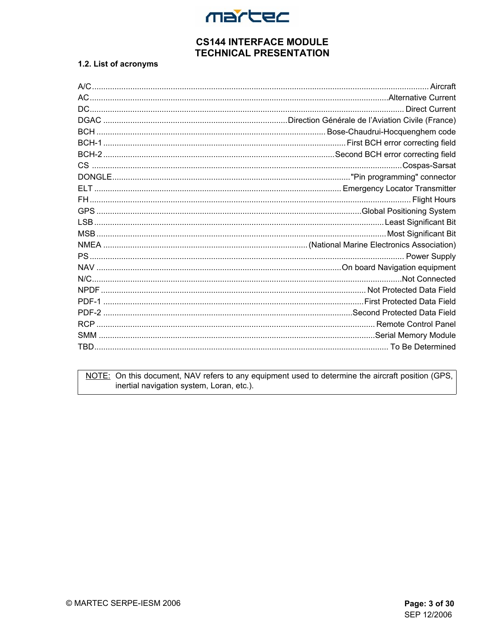

#### <span id="page-8-0"></span>1.2. List of acronyms

NOTE: On this document, NAV refers to any equipment used to determine the aircraft position (GPS, inertial navigation system, Loran, etc.).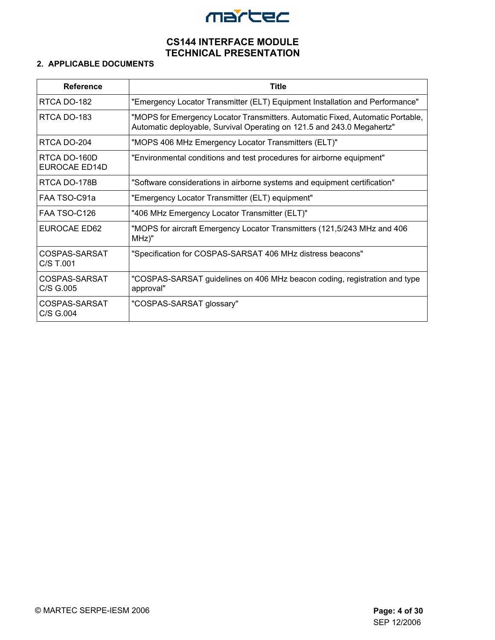

### <span id="page-9-0"></span>**2. APPLICABLE DOCUMENTS**

| <b>Reference</b>                     | <b>Title</b>                                                                                                                                             |
|--------------------------------------|----------------------------------------------------------------------------------------------------------------------------------------------------------|
| RTCA DO-182                          | "Emergency Locator Transmitter (ELT) Equipment Installation and Performance"                                                                             |
| RTCA DO-183                          | "MOPS for Emergency Locator Transmitters. Automatic Fixed, Automatic Portable,<br>Automatic deployable, Survival Operating on 121.5 and 243.0 Megahertz" |
| RTCA DO-204                          | "MOPS 406 MHz Emergency Locator Transmitters (ELT)"                                                                                                      |
| RTCA DO-160D<br><b>EUROCAE ED14D</b> | "Environmental conditions and test procedures for airborne equipment"                                                                                    |
| RTCA DO-178B                         | "Software considerations in airborne systems and equipment certification"                                                                                |
| FAA TSO-C91a                         | "Emergency Locator Transmitter (ELT) equipment"                                                                                                          |
| FAA TSO-C126                         | "406 MHz Emergency Locator Transmitter (ELT)"                                                                                                            |
| EUROCAE ED62                         | "MOPS for aircraft Emergency Locator Transmitters (121,5/243 MHz and 406<br>MHz)"                                                                        |
| COSPAS-SARSAT<br>C/S T.001           | "Specification for COSPAS-SARSAT 406 MHz distress beacons"                                                                                               |
| COSPAS-SARSAT<br>C/S G.005           | "COSPAS-SARSAT guidelines on 406 MHz beacon coding, registration and type<br>approval"                                                                   |
| COSPAS-SARSAT<br>C/S G.004           | "COSPAS-SARSAT glossary"                                                                                                                                 |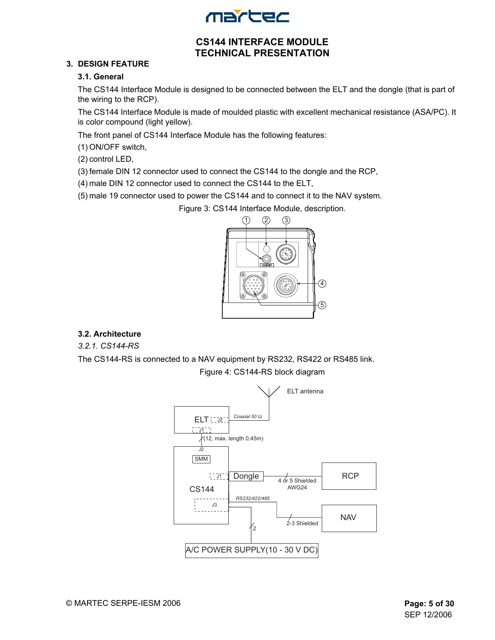

#### <span id="page-10-0"></span>**3. DESIGN FEATURE**

#### <span id="page-10-1"></span>**3.1. General**

The CS144 Interface Module is designed to be connected between the ELT and the dongle (that is part of the wiring to the RCP).

The CS144 Interface Module is made of moulded plastic with excellent mechanical resistance (ASA/PC). It is color compound (light yellow).

The front panel of CS144 Interface Module has the following features:

- (1) ON/OFF switch,
- (2) control LED,
- (3) female DIN 12 connector used to connect the CS144 to the dongle and the RCP,
- (4) male DIN 12 connector used to connect the CS144 to the ELT,
- (5) male 19 connector used to power the CS144 and to connect it to the NAV system.

Figure 3: CS144 Interface Module, description.



### <span id="page-10-2"></span>**3.2. Architecture**

<span id="page-10-3"></span>*3.2.1. CS144-RS*

The CS144-RS is connected to a NAV equipment by RS232, RS422 or RS485 link.

### Figure 4: CS144-RS block diagram

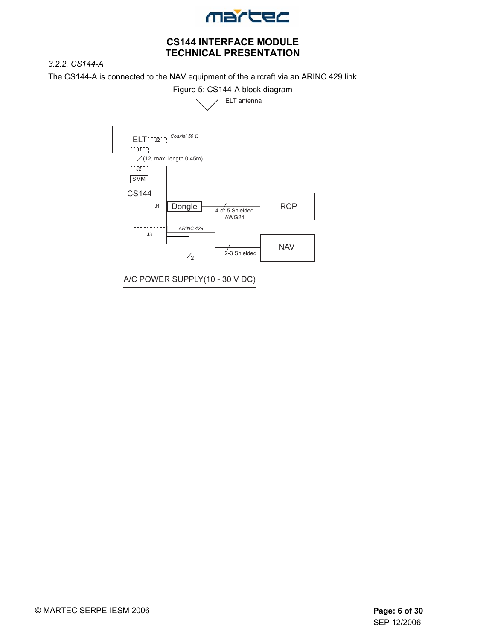

### <span id="page-11-0"></span>*3.2.2. CS144-A*

The CS144-A is connected to the NAV equipment of the aircraft via an ARINC 429 link.

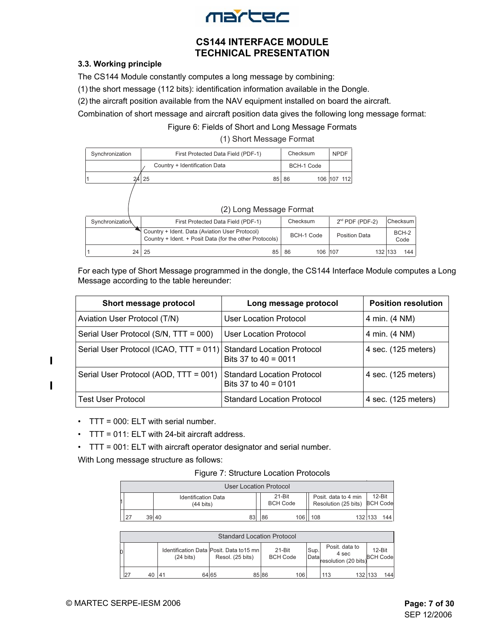

### <span id="page-12-0"></span>**3.3. Working principle**

The CS144 Module constantly computes a long message by combining:

(1) the short message (112 bits): identification information available in the Dongle.

(2) the aircraft position available from the NAV equipment installed on board the aircraft.

Combination of short message and aircraft position data gives the following long message format:

Figure 6: Fields of Short and Long Message Formats

(1) Short Message Format

| Synchronization | First Protected Data Field (PDF-1) | Checksum | <b>NPDF</b> |             |
|-----------------|------------------------------------|----------|-------------|-------------|
|                 | Country + Identification Data      |          | BCH-1 Code  |             |
|                 | -25                                | 85       | 86          | 106 107 112 |

| (2) Long Message Format |  |
|-------------------------|--|
|                         |  |

| Synchronization | First Protected Data Field (PDF-1)                                                                        | Checksum      | $2nd$ PDF (PDF-2) | <b>Checksum</b> |  |
|-----------------|-----------------------------------------------------------------------------------------------------------|---------------|-------------------|-----------------|--|
|                 | Country + Ident. Data (Aviation User Protocol)<br>Country + Ident. + Posit Data (for the other Protocols) | BCH-1 Code    | Position Data     | BCH-2<br>Code   |  |
|                 | 24   25<br>85                                                                                             | 106 107<br>86 |                   | 144<br>132 133  |  |

For each type of Short Message programmed in the dongle, the CS144 Interface Module computes a Long Message according to the table hereunder:

| Short message protocol                                              | Long message protocol                                       | <b>Position resolution</b> |  |  |
|---------------------------------------------------------------------|-------------------------------------------------------------|----------------------------|--|--|
| Aviation User Protocol (T/N)                                        | User Location Protocol                                      | 4 min. (4 NM)              |  |  |
| Serial User Protocol (S/N, TTT = 000)                               | User Location Protocol                                      | 4 min. (4 NM)              |  |  |
| Serial User Protocol (ICAO, TTT = 011)   Standard Location Protocol | Bits 37 to $40 = 0011$                                      | 4 sec. (125 meters)        |  |  |
| Serial User Protocol (AOD, TTT = 001)                               | <b>Standard Location Protocol</b><br>Bits 37 to $40 = 0101$ | 4 sec. (125 meters)        |  |  |
| <b>Test User Protocol</b>                                           | <b>Standard Location Protocol</b>                           | 4 sec. (125 meters)        |  |  |

• TTT = 000: ELT with serial number.

 $\mathbf I$ 

 $\blacksquare$ 

• TTT = 011: ELT with 24-bit aircraft address.

• TTT = 001: ELT with aircraft operator designator and serial number.

With Long message structure as follows:

#### Figure 7: Structure Location Protocols

| <b>User Location Protocol</b>                     |       |    |  |                           |                                                       |          |     |  |  |
|---------------------------------------------------|-------|----|--|---------------------------|-------------------------------------------------------|----------|-----|--|--|
| <b>Identification Data</b><br>$(44 \text{ bits})$ |       |    |  | 21-Bit<br><b>BCH Code</b> | Posit, data to 4 min<br>Resolution (25 bits) BCH Code | $12-Bit$ |     |  |  |
| 27                                                | 39 40 | 83 |  | 106 I I<br>86             | 132 133<br>108                                        |          | 144 |  |  |

|   | <b>Standard Location Protocol</b> |    |                                                                 |                  |  |       |                               |       |                                                                          |         |          |     |
|---|-----------------------------------|----|-----------------------------------------------------------------|------------------|--|-------|-------------------------------|-------|--------------------------------------------------------------------------|---------|----------|-----|
| O |                                   |    | Identification Data Posit. Data to 15 mn<br>$(24 \text{ bits})$ | Resol. (25 bits) |  |       | $21 - Bit$<br><b>BCH Code</b> | 'Sup. | Posit, data to<br>4 sec<br>Data <sub>resolution</sub> (20 bits) BCH Code |         | $12-Bit$ |     |
|   | 127                               | 40 | 41                                                              | 64 65            |  | 85 86 | 106                           |       | 113                                                                      | 132 133 |          | 144 |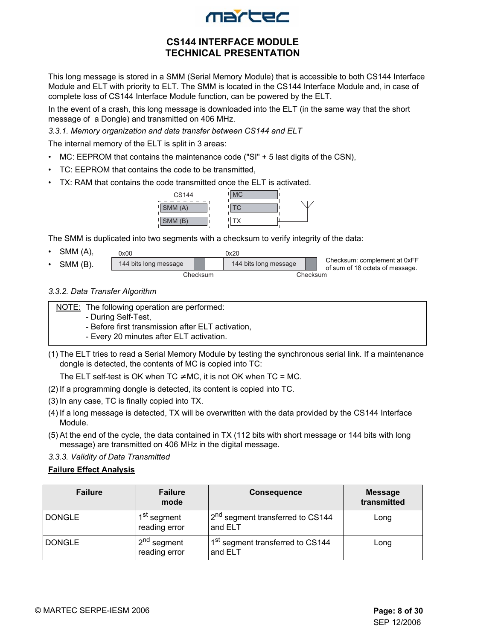

This long message is stored in a SMM (Serial Memory Module) that is accessible to both CS144 Interface Module and ELT with priority to ELT. The SMM is located in the CS144 Interface Module and, in case of complete loss of CS144 Interface Module function, can be powered by the ELT.

In the event of a crash, this long message is downloaded into the ELT (in the same way that the short message of a Dongle) and transmitted on 406 MHz.

<span id="page-13-0"></span>*3.3.1. Memory organization and data transfer between CS144 and ELT*

The internal memory of the ELT is split in 3 areas:

- MC: EEPROM that contains the maintenance code ("SI" + 5 last digits of the CSN),
- TC: EEPROM that contains the code to be transmitted,
- TX: RAM that contains the code transmitted once the ELT is activated.



The SMM is duplicated into two segments with a checksum to verify integrity of the data:

- $\cdot$  SMM (A),  $\frac{0x00}{144 \text{ bits long message}}$   $\frac{0x20}{144 \text{ bits long message}}$  $0x00$
- SMM (B).  $144$  bits long message 144 bits long message Checksum: complement at 0xFF<br>of sum of 18 octets of message. of sum of 18 octets of message.<br>1

#### <span id="page-13-1"></span>*3.3.2. Data Transfer Algorithm*



(1) The ELT tries to read a Serial Memory Module by testing the synchronous serial link. If a maintenance dongle is detected, the contents of MC is copied into TC:

The ELT self-test is OK when  $TC \neq MC$ , it is not OK when  $TC = MC$ .

- (2) If a programming dongle is detected, its content is copied into TC.
- (3) In any case, TC is finally copied into TX.
- (4) If a long message is detected, TX will be overwritten with the data provided by the CS144 Interface Module.
- (5) At the end of the cycle, the data contained in TX (112 bits with short message or 144 bits with long message) are transmitted on 406 MHz in the digital message.
- <span id="page-13-2"></span>*3.3.3. Validity of Data Transmitted*

### **Failure Effect Analysis**

| <b>Failure</b> | <b>Failure</b><br>mode                   | <b>Consequence</b>                                      | <b>Message</b><br>transmitted |
|----------------|------------------------------------------|---------------------------------------------------------|-------------------------------|
| <b>DONGLE</b>  | 1 <sup>st</sup> segment<br>reading error | 2 <sup>nd</sup> segment transferred to CS144<br>and ELT | Long                          |
| <b>DONGLE</b>  | $2nd$ segment<br>reading error           | 1 <sup>st</sup> segment transferred to CS144<br>and ELT | Long                          |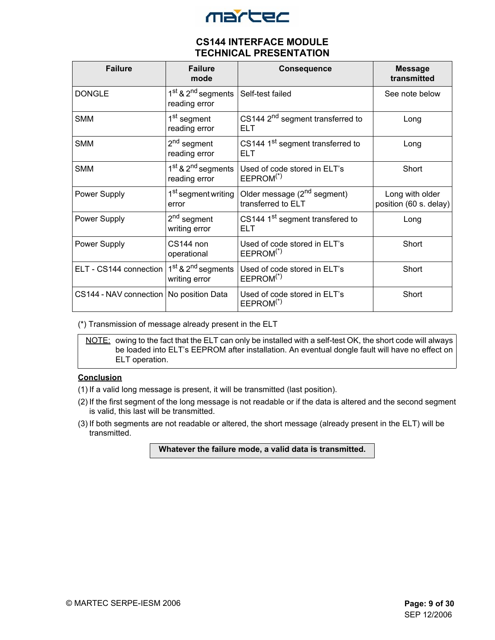

| <b>Failure</b>                            | <b>Failure</b><br>mode                                      | <b>Consequence</b>                                            | <b>Message</b><br>transmitted             |
|-------------------------------------------|-------------------------------------------------------------|---------------------------------------------------------------|-------------------------------------------|
| <b>DONGLE</b>                             | 1 <sup>st</sup> & 2 <sup>nd</sup> segments<br>reading error | Self-test failed                                              | See note below                            |
| <b>SMM</b>                                | 1 <sup>st</sup> segment<br>reading error                    | CS144 2 <sup>nd</sup> segment transferred to<br><b>ELT</b>    | Long                                      |
| <b>SMM</b>                                | 2 <sup>nd</sup> segment<br>reading error                    | CS144 1 <sup>st</sup> segment transferred to<br><b>ELT</b>    | Long                                      |
| <b>SMM</b>                                | 1 <sup>st</sup> & 2 <sup>nd</sup> segments<br>reading error | Used of code stored in ELT's<br>$EEPROM(*)$                   | Short                                     |
| Power Supply                              | 1 <sup>st</sup> segment writing<br>error                    | Older message (2 <sup>nd</sup> segment)<br>transferred to ELT | Long with older<br>position (60 s. delay) |
| Power Supply                              | 2 <sup>nd</sup> segment<br>writing error                    | CS144 1 <sup>st</sup> segment transfered to<br><b>ELT</b>     | Long                                      |
| Power Supply                              | CS144 non<br>operational                                    | Used of code stored in ELT's<br>EEPROM <sup>(*)</sup>         | Short                                     |
| ELT - CS144 connection                    | 1 <sup>st</sup> & 2 <sup>nd</sup> segments<br>writing error | Used of code stored in ELT's<br>$EEPROM(*)$                   | Short                                     |
| CS144 - NAV connection   No position Data |                                                             | Used of code stored in ELT's<br>EEPROM <sup>(*)</sup>         | Short                                     |

(\*) Transmission of message already present in the ELT

NOTE: owing to the fact that the ELT can only be installed with a self-test OK, the short code will always be loaded into ELT's EEPROM after installation. An eventual dongle fault will have no effect on ELT operation.

### **Conclusion**

- (1) If a valid long message is present, it will be transmitted (last position).
- (2) If the first segment of the long message is not readable or if the data is altered and the second segment is valid, this last will be transmitted.
- (3) If both segments are not readable or altered, the short message (already present in the ELT) will be transmitted.

### **Whatever the failure mode, a valid data is transmitted.**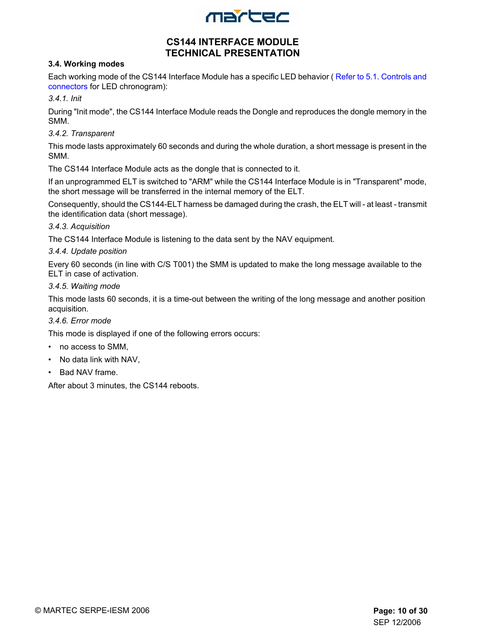

### <span id="page-15-0"></span>**3.4. Working modes**

Each working mode of the CS144 Interface Module has a specific LED behavior ( [Refer to 5.1. Controls and](#page-19-1)  [connectors](#page-19-1) for LED chronogram):

<span id="page-15-1"></span>*3.4.1. Init*

During "Init mode", the CS144 Interface Module reads the Dongle and reproduces the dongle memory in the SMM.

<span id="page-15-2"></span>*3.4.2. Transparent*

This mode lasts approximately 60 seconds and during the whole duration, a short message is present in the SMM.

The CS144 Interface Module acts as the dongle that is connected to it.

If an unprogrammed ELT is switched to "ARM" while the CS144 Interface Module is in "Transparent" mode, the short message will be transferred in the internal memory of the ELT.

Consequently, should the CS144-ELT harness be damaged during the crash, the ELT will - at least - transmit the identification data (short message).

#### <span id="page-15-3"></span>*3.4.3. Acquisition*

The CS144 Interface Module is listening to the data sent by the NAV equipment.

#### <span id="page-15-4"></span>*3.4.4. Update position*

Every 60 seconds (in line with C/S T001) the SMM is updated to make the long message available to the ELT in case of activation.

#### <span id="page-15-5"></span>*3.4.5. Waiting mode*

This mode lasts 60 seconds, it is a time-out between the writing of the long message and another position acquisition.

#### <span id="page-15-6"></span>*3.4.6. Error mode*

This mode is displayed if one of the following errors occurs:

- no access to SMM,
- No data link with NAV,
- Bad NAV frame.

After about 3 minutes, the CS144 reboots.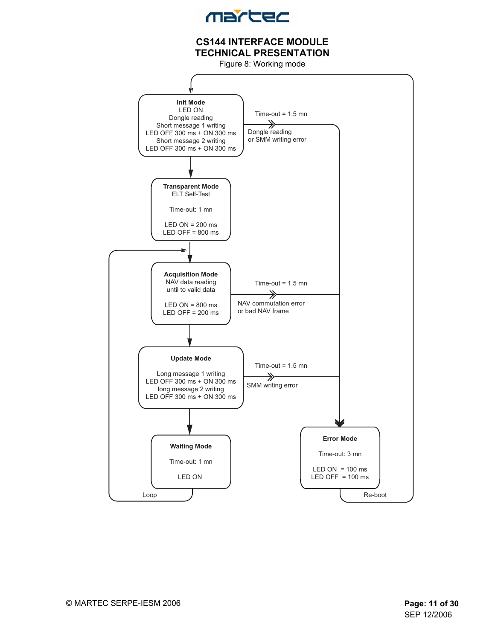



Figure 8: Working mode

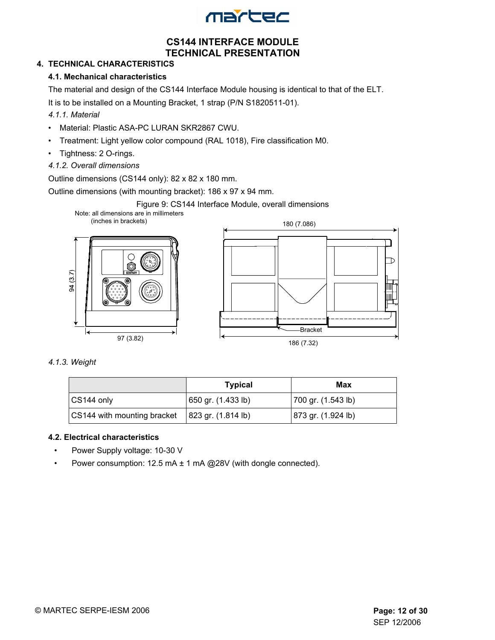

### <span id="page-17-0"></span>**4. TECHNICAL CHARACTERISTICS**

### <span id="page-17-1"></span>**4.1. Mechanical characteristics**

The material and design of the CS144 Interface Module housing is identical to that of the ELT.

It is to be installed on a Mounting Bracket, 1 strap (P/N S1820511-01).

<span id="page-17-2"></span>*4.1.1. Material*

- Material: Plastic ASA-PC LURAN SKR2867 CWU.
- Treatment: Light yellow color compound (RAL 1018), Fire classification M0.
- Tightness: 2 O-rings.
- <span id="page-17-3"></span>*4.1.2. Overall dimensions*

Outline dimensions (CS144 only): 82 x 82 x 180 mm.

Outline dimensions (with mounting bracket): 186 x 97 x 94 mm.







<span id="page-17-4"></span>*4.1.3. Weight*

|                             | <b>Typical</b>                        | Max                |
|-----------------------------|---------------------------------------|--------------------|
| CS144 only                  | 650 gr. (1.433 lb)                    | 700 gr. (1.543 lb) |
| CS144 with mounting bracket | $ 823 \text{ gr.} (1.814 \text{ lb})$ | 873 gr. (1.924 lb) |

### <span id="page-17-5"></span>**4.2. Electrical characteristics**

- Power Supply voltage: 10-30 V
- Power consumption: 12.5 mA ± 1 mA @28V (with dongle connected).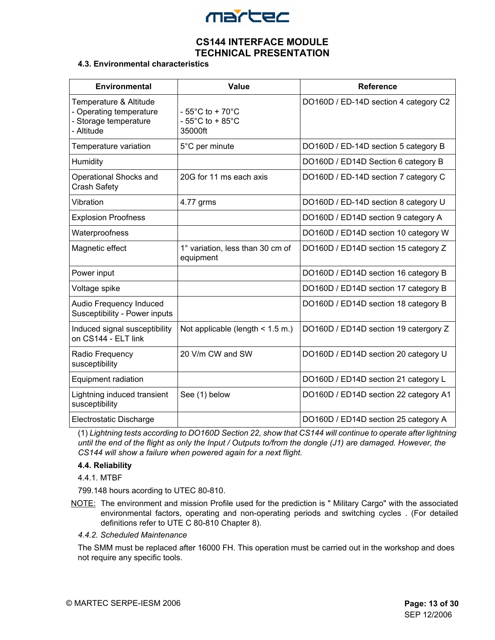

#### **4.3. Environmental characteristics**

| Environmental                                                                            | <b>Value</b>                                                                            | <b>Reference</b>                      |
|------------------------------------------------------------------------------------------|-----------------------------------------------------------------------------------------|---------------------------------------|
| Temperature & Altitude<br>- Operating temperature<br>- Storage temperature<br>- Altitude | - $55^{\circ}$ C to + $70^{\circ}$ C<br>$-55^{\circ}$ C to + 85 $^{\circ}$ C<br>35000ft | DO160D / ED-14D section 4 category C2 |
| Temperature variation                                                                    | 5°C per minute                                                                          | DO160D / ED-14D section 5 category B  |
| Humidity                                                                                 |                                                                                         | DO160D / ED14D Section 6 category B   |
| Operational Shocks and<br><b>Crash Safety</b>                                            | 20G for 11 ms each axis                                                                 | DO160D / ED-14D section 7 category C  |
| Vibration                                                                                | 4.77 grms                                                                               | DO160D / ED-14D section 8 category U  |
| <b>Explosion Proofness</b>                                                               |                                                                                         | DO160D / ED14D section 9 category A   |
| Waterproofness                                                                           |                                                                                         | DO160D / ED14D section 10 category W  |
| Magnetic effect                                                                          | 1° variation, less than 30 cm of<br>equipment                                           | DO160D / ED14D section 15 category Z  |
| Power input                                                                              |                                                                                         | DO160D / ED14D section 16 category B  |
| Voltage spike                                                                            |                                                                                         | DO160D / ED14D section 17 category B  |
| Audio Frequency Induced<br>Susceptibility - Power inputs                                 |                                                                                         | DO160D / ED14D section 18 category B  |
| Induced signal susceptibility<br>on CS144 - ELT link                                     | Not applicable (length $<$ 1.5 m.)                                                      | DO160D / ED14D section 19 catergory Z |
| Radio Frequency<br>susceptibility                                                        | 20 V/m CW and SW                                                                        | DO160D / ED14D section 20 category U  |
| Equipment radiation                                                                      |                                                                                         | DO160D / ED14D section 21 category L  |
| Lightning induced transient<br>susceptibility                                            | See (1) below                                                                           | DO160D / ED14D section 22 category A1 |
| Electrostatic Discharge                                                                  |                                                                                         | DO160D / ED14D section 25 category A  |

(1) *Lightning tests according to DO160D Section 22, show that CS144 will continue to operate after lightning until the end of the flight as only the Input / Outputs to/from the dongle (J1) are damaged. However, the CS144 will show a failure when powered again for a next flight.*

### <span id="page-18-0"></span>**4.4. Reliability**

<span id="page-18-1"></span>4.4.1. MTBF

799.148 hours acording to UTEC 80-810.

NOTE: The environment and mission Profile used for the prediction is " Military Cargo" with the associated environmental factors, operating and non-operating periods and switching cycles . (For detailed definitions refer to UTE C 80-810 Chapter 8).

### <span id="page-18-2"></span>*4.4.2. Scheduled Maintenance*

The SMM must be replaced after 16000 FH. This operation must be carried out in the workshop and does not require any specific tools.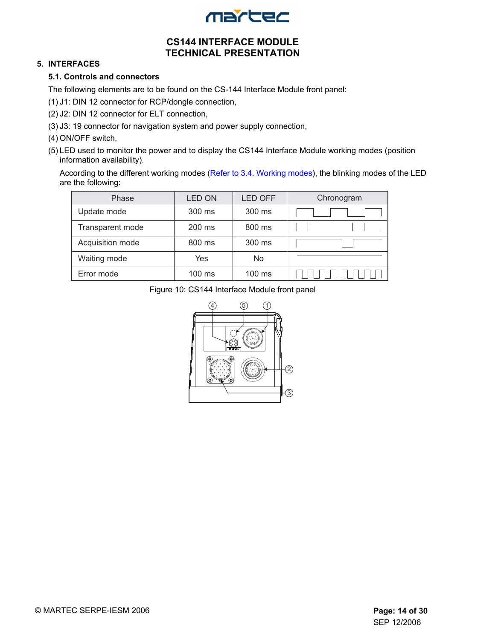

### <span id="page-19-0"></span>**5. INTERFACES**

#### <span id="page-19-1"></span>**5.1. Controls and connectors**

The following elements are to be found on the CS-144 Interface Module front panel:

(1) J1: DIN 12 connector for RCP/dongle connection,

(2) J2: DIN 12 connector for ELT connection,

(3) J3: 19 connector for navigation system and power supply connection,

(4) ON/OFF switch,

(5) LED used to monitor the power and to display the CS144 Interface Module working modes (position information availability).

According to the different working modes ([Refer to 3.4. Working modes\)](#page-15-0), the blinking modes of the LED are the following:

| Phase            | <b>LED ON</b> | <b>LED OFF</b> | Chronogram |
|------------------|---------------|----------------|------------|
| Update mode      | 300 ms        | 300 ms         |            |
| Transparent mode | 200 ms        | 800 ms         |            |
| Acquisition mode | 800 ms        | 300 ms         |            |
| Waiting mode     | Yes           | No             |            |
| Error mode       | 100 ms        | $100$ ms       |            |

Figure 10: CS144 Interface Module front panel

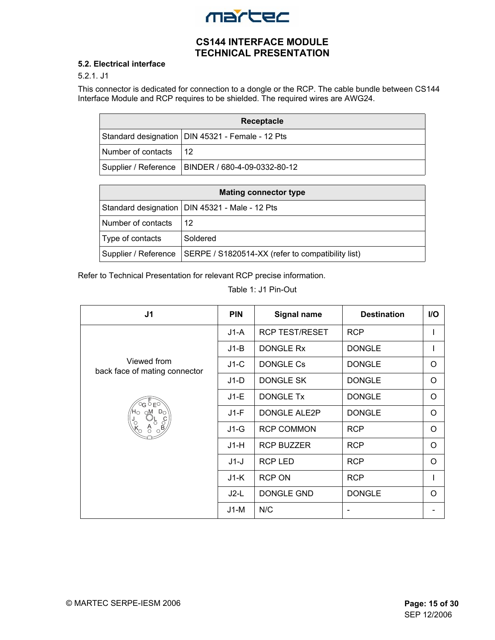

### <span id="page-20-0"></span>**5.2. Electrical interface**

#### <span id="page-20-1"></span>5.2.1. J1

This connector is dedicated for connection to a dongle or the RCP. The cable bundle between CS144 Interface Module and RCP requires to be shielded. The required wires are AWG24.

| Receptacle         |                                                     |  |
|--------------------|-----------------------------------------------------|--|
|                    | Standard designation   DIN 45321 - Female - 12 Pts  |  |
| Number of contacts | 12                                                  |  |
|                    | Supplier / Reference   BINDER / 680-4-09-0332-80-12 |  |

| <b>Mating connector type</b> |                                                   |  |
|------------------------------|---------------------------------------------------|--|
|                              | Standard designation   DIN 45321 - Male - 12 Pts  |  |
| Number of contacts           | 12                                                |  |
| Type of contacts             | Soldered                                          |  |
| Supplier / Reference         | SERPE / S1820514-XX (refer to compatibility list) |  |

Refer to Technical Presentation for relevant RCP precise information.

Table 1: J1 Pin-Out

| J1                                           | <b>PIN</b> | <b>Signal name</b>    | <b>Destination</b> | <b>I/O</b> |
|----------------------------------------------|------------|-----------------------|--------------------|------------|
|                                              | $J1-A$     | <b>RCP TEST/RESET</b> | <b>RCP</b>         |            |
|                                              | $J1-B$     | DONGLE Rx             | <b>DONGLE</b>      |            |
| Viewed from<br>back face of mating connector | $J1-C$     | <b>DONGLE Cs</b>      | <b>DONGLE</b>      | O          |
|                                              | $J1-D$     | <b>DONGLE SK</b>      | <b>DONGLE</b>      | O          |
| 99 O FO                                      | $J1-E$     | <b>DONGLE Tx</b>      | <b>DONGLE</b>      | $\Omega$   |
| $D_{\rm O}$<br>∩Μ<br>ಗ∩                      | $J1-F$     | <b>DONGLE ALE2P</b>   | <b>DONGLE</b>      | $\circ$    |
|                                              | $J1-G$     | <b>RCP COMMON</b>     | <b>RCP</b>         | O          |
|                                              | $J1-H$     | <b>RCP BUZZER</b>     | <b>RCP</b>         | O          |
|                                              | $J1-J$     | <b>RCP LED</b>        | <b>RCP</b>         | $\Omega$   |
|                                              | $J1-K$     | <b>RCP ON</b>         | <b>RCP</b>         |            |
|                                              | $J2-L$     | <b>DONGLE GND</b>     | <b>DONGLE</b>      | $\Omega$   |
|                                              | $J1-M$     | N/C                   |                    |            |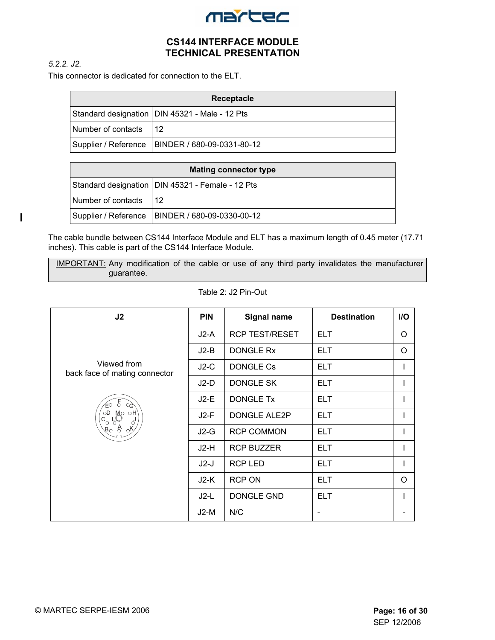

### <span id="page-21-0"></span>*5.2.2. J2.*

 $\mathbf{I}$ 

This connector is dedicated for connection to the ELT.

| Receptacle         |                                                   |  |
|--------------------|---------------------------------------------------|--|
|                    | Standard designation   DIN 45321 - Male - 12 Pts  |  |
| Number of contacts | 12                                                |  |
|                    | Supplier / Reference   BINDER / 680-09-0331-80-12 |  |

| <b>Mating connector type</b> |                                                    |  |
|------------------------------|----------------------------------------------------|--|
|                              | Standard designation   DIN 45321 - Female - 12 Pts |  |
| Number of contacts           | l 12                                               |  |
|                              | Supplier / Reference   BINDER / 680-09-0330-00-12  |  |

The cable bundle between CS144 Interface Module and ELT has a maximum length of 0.45 meter (17.71 inches). This cable is part of the CS144 Interface Module.

IMPORTANT: Any modification of the cable or use of any third party invalidates the manufacturer guarantee.

| J2                                                        | <b>PIN</b> | <b>Signal name</b>    | <b>Destination</b> | I/O      |
|-----------------------------------------------------------|------------|-----------------------|--------------------|----------|
|                                                           | $J2-A$     | <b>RCP TEST/RESET</b> | <b>ELT</b>         | O        |
|                                                           | $J2-B$     | DONGLE Rx             | <b>ELT</b>         | O        |
| Viewed from<br>back face of mating connector              | $J2-C$     | DONGLE Cs             | <b>ELT</b>         |          |
|                                                           | $J2-D$     | <b>DONGLE SK</b>      | <b>ELT</b>         | L        |
| 9Ġ                                                        | $J2-E$     | <b>DONGLE Tx</b>      | <b>ELT</b>         |          |
| $\circ$ H<br>OD<br>Mо<br>$\mathbf{c}_\mathrm{o}$<br>്     | $J2-F$     | <b>DONGLE ALE2P</b>   | <b>ELT</b>         |          |
| $\mathcal{B}_{\mathrm{O}}$<br>$\sigma_{\rm K}$<br>$\beta$ | $J2-G$     | <b>RCP COMMON</b>     | <b>ELT</b>         |          |
|                                                           | $J2-H$     | <b>RCP BUZZER</b>     | <b>ELT</b>         |          |
|                                                           | J2-J       | <b>RCP LED</b>        | <b>ELT</b>         |          |
|                                                           | $J2-K$     | <b>RCP ON</b>         | <b>ELT</b>         | $\Omega$ |
|                                                           | $J2-L$     | DONGLE GND            | <b>ELT</b>         |          |
|                                                           | $J2-M$     | N/C                   |                    |          |

#### Table 2: J2 Pin-Out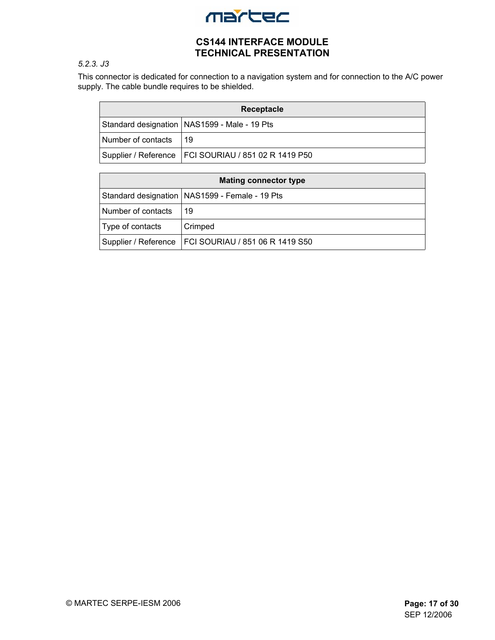

### <span id="page-22-0"></span>*5.2.3. J3*

This connector is dedicated for connection to a navigation system and for connection to the A/C power supply. The cable bundle requires to be shielded.

| Receptacle         |                                                        |  |
|--------------------|--------------------------------------------------------|--|
|                    | Standard designation   NAS1599 - Male - 19 Pts         |  |
| Number of contacts | l 19                                                   |  |
|                    | Supplier / Reference   FCI SOURIAU / 851 02 R 1419 P50 |  |

|                    | <b>Mating connector type</b>                           |  |  |  |  |  |  |
|--------------------|--------------------------------------------------------|--|--|--|--|--|--|
|                    | Standard designation   NAS1599 - Female - 19 Pts       |  |  |  |  |  |  |
| Number of contacts | 19                                                     |  |  |  |  |  |  |
| Type of contacts   | Crimped                                                |  |  |  |  |  |  |
|                    | Supplier / Reference   FCI SOURIAU / 851 06 R 1419 S50 |  |  |  |  |  |  |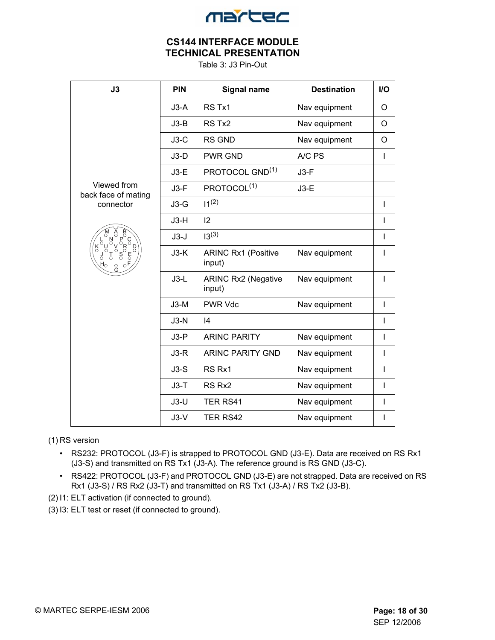

Table 3: J3 Pin-Out

| J3                                                                                                                                                                                                                                                                                                                              | PIN    | <b>Signal name</b>                   | <b>Destination</b> | I/O          |
|---------------------------------------------------------------------------------------------------------------------------------------------------------------------------------------------------------------------------------------------------------------------------------------------------------------------------------|--------|--------------------------------------|--------------------|--------------|
|                                                                                                                                                                                                                                                                                                                                 | $J3-A$ | RS Tx1                               | Nav equipment      | $\circ$      |
|                                                                                                                                                                                                                                                                                                                                 | $J3-B$ | RS Tx2                               | Nav equipment      | O            |
|                                                                                                                                                                                                                                                                                                                                 | $J3-C$ | <b>RS GND</b>                        | Nav equipment      | O            |
|                                                                                                                                                                                                                                                                                                                                 | $J3-D$ | <b>PWR GND</b>                       | A/C PS             | T            |
|                                                                                                                                                                                                                                                                                                                                 | $J3-E$ | PROTOCOL GND <sup>(1)</sup>          | $J3-F$             |              |
| Viewed from<br>back face of mating                                                                                                                                                                                                                                                                                              | $J3-F$ | PROTOCOL <sup>(1)</sup>              | $J3-E$             |              |
| connector                                                                                                                                                                                                                                                                                                                       | $J3-G$ | $11^{(2)}$                           |                    | T            |
|                                                                                                                                                                                                                                                                                                                                 | $J3-H$ | 12                                   |                    | I            |
|                                                                                                                                                                                                                                                                                                                                 | $J3-J$ | $13^{(3)}$                           |                    | $\mathsf{I}$ |
| $\begin{pmatrix} 1 & 0 & 0 & 0 \\ 0 & 0 & 0 & 0 \\ 0 & 0 & 0 & 0 \\ 0 & 0 & 0 & 0 \\ 0 & 0 & 0 & 0 \\ 0 & 0 & 0 & 0 \\ 0 & 0 & 0 & 0 \\ 0 & 0 & 0 & 0 \\ 0 & 0 & 0 & 0 \\ 0 & 0 & 0 & 0 \\ 0 & 0 & 0 & 0 \\ 0 & 0 & 0 & 0 \\ 0 & 0 & 0 & 0 \\ 0 & 0 & 0 & 0 \\ 0 & 0 & 0 & 0 \\ 0 & 0 & 0 & 0 \\ 0 & 0 & 0 & 0 \\ 0 & 0 & 0 & $ | $J3-K$ | <b>ARINC Rx1 (Positive</b><br>input) | Nav equipment      | I            |
|                                                                                                                                                                                                                                                                                                                                 | $J3-L$ | <b>ARINC Rx2 (Negative</b><br>input) | Nav equipment      | T            |
|                                                                                                                                                                                                                                                                                                                                 | $J3-M$ | <b>PWR Vdc</b>                       | Nav equipment      | T            |
|                                                                                                                                                                                                                                                                                                                                 | $J3-N$ | $ 4\rangle$                          |                    | T            |
|                                                                                                                                                                                                                                                                                                                                 | $J3-P$ | <b>ARINC PARITY</b>                  | Nav equipment      | I            |
|                                                                                                                                                                                                                                                                                                                                 | $J3-R$ | <b>ARINC PARITY GND</b>              | Nav equipment      | I            |
|                                                                                                                                                                                                                                                                                                                                 | $J3-S$ | RS Rx1                               | Nav equipment      | T            |
|                                                                                                                                                                                                                                                                                                                                 | $J3-T$ | RS <sub>Rx2</sub>                    | Nav equipment      | I            |
|                                                                                                                                                                                                                                                                                                                                 | $J3-U$ | TER RS41                             | Nav equipment      | T            |
|                                                                                                                                                                                                                                                                                                                                 | $J3-V$ | TER RS42                             | Nav equipment      | I            |

(1) RS version

- RS232: PROTOCOL (J3-F) is strapped to PROTOCOL GND (J3-E). Data are received on RS Rx1 (J3-S) and transmitted on RS Tx1 (J3-A). The reference ground is RS GND (J3-C).
- RS422: PROTOCOL (J3-F) and PROTOCOL GND (J3-E) are not strapped. Data are received on RS Rx1 (J3-S) / RS Rx2 (J3-T) and transmitted on RS Tx1 (J3-A) / RS Tx2 (J3-B).
- (2) I1: ELT activation (if connected to ground).
- (3) I3: ELT test or reset (if connected to ground).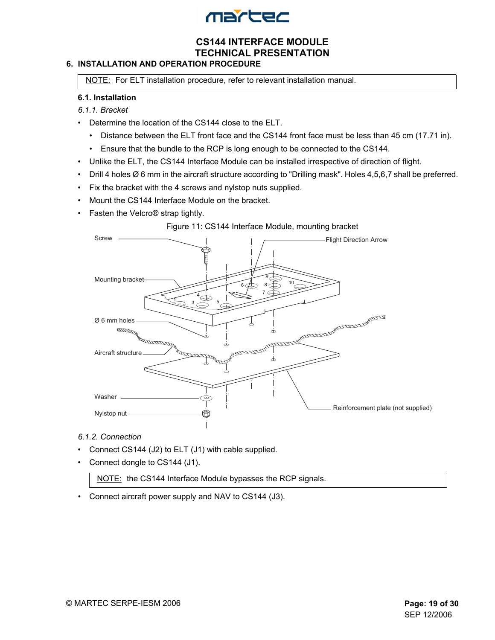

#### <span id="page-24-0"></span>**6. INSTALLATION AND OPERATION PROCEDURE**

NOTE: For ELT installation procedure, refer to relevant installation manual.

#### <span id="page-24-1"></span>**6.1. Installation**

<span id="page-24-2"></span>*6.1.1. Bracket*

- Determine the location of the CS144 close to the ELT.
	- Distance between the ELT front face and the CS144 front face must be less than 45 cm (17.71 in).
	- Ensure that the bundle to the RCP is long enough to be connected to the CS144.
- Unlike the ELT, the CS144 Interface Module can be installed irrespective of direction of flight.
- Drill 4 holes  $\emptyset$  6 mm in the aircraft structure according to "Drilling mask". Holes 4,5,6,7 shall be preferred.
- Fix the bracket with the 4 screws and nylstop nuts supplied.
- Mount the CS144 Interface Module on the bracket.
- Fasten the Velcro® strap tightly.

#### Figure 11: CS144 Interface Module, mounting bracket



#### <span id="page-24-3"></span>*6.1.2. Connection*

- Connect CS144 (J2) to ELT (J1) with cable supplied.
- Connect dongle to CS144 (J1).

NOTE: the CS144 Interface Module bypasses the RCP signals.

• Connect aircraft power supply and NAV to CS144 (J3).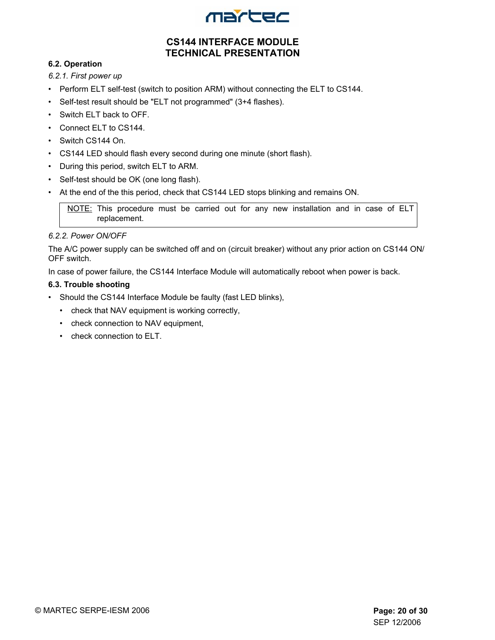

### <span id="page-25-0"></span>**6.2. Operation**

<span id="page-25-1"></span>*6.2.1. First power up*

- Perform ELT self-test (switch to position ARM) without connecting the ELT to CS144.
- Self-test result should be "ELT not programmed" (3+4 flashes).
- Switch ELT back to OFF.
- Connect ELT to CS144.
- Switch CS144 On.
- CS144 LED should flash every second during one minute (short flash).
- During this period, switch ELT to ARM.
- Self-test should be OK (one long flash).
- At the end of the this period, check that CS144 LED stops blinking and remains ON.

NOTE: This procedure must be carried out for any new installation and in case of ELT replacement.

### <span id="page-25-2"></span>*6.2.2. Power ON/OFF*

The A/C power supply can be switched off and on (circuit breaker) without any prior action on CS144 ON/ OFF switch.

In case of power failure, the CS144 Interface Module will automatically reboot when power is back.

### <span id="page-25-3"></span>**6.3. Trouble shooting**

- Should the CS144 Interface Module be faulty (fast LED blinks),
	- check that NAV equipment is working correctly,
	- check connection to NAV equipment,
	- check connection to ELT.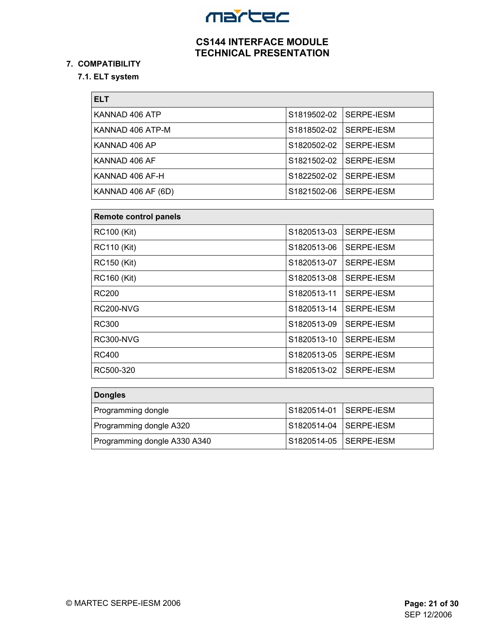

### <span id="page-26-0"></span>**7. COMPATIBILITY**

### <span id="page-26-1"></span>**7.1. ELT system**

| <b>ELT</b>         |                         |                   |
|--------------------|-------------------------|-------------------|
| KANNAD 406 ATP     | S1819502-02             | I SERPE-IESM      |
| KANNAD 406 ATP-M   | S1818502-02             | I SERPE-IESM      |
| KANNAD 406 AP      | S1820502-02             | l SERPE-IESM      |
| KANNAD 406 AF      | S1821502-02             | <b>SERPE-IESM</b> |
| KANNAD 406 AF-H    | S1822502-02             | SERPE-IESM        |
| KANNAD 406 AF (6D) | S <sub>1821502-06</sub> | SERPE-IESM        |

| <b>Remote control panels</b> |             |                   |
|------------------------------|-------------|-------------------|
| <b>RC100 (Kit)</b>           | S1820513-03 | <b>SERPE-IESM</b> |
| <b>RC110 (Kit)</b>           | S1820513-06 | SERPE-IESM        |
| <b>RC150 (Kit)</b>           | S1820513-07 | SERPE-IESM        |
| <b>RC160 (Kit)</b>           | S1820513-08 | <b>SERPE-IESM</b> |
| RC200                        | S1820513-11 | SERPE-IESM        |
| <b>RC200-NVG</b>             | S1820513-14 | <b>SERPE-IESM</b> |
| RC300                        | S1820513-09 | <b>SERPE-IESM</b> |
| <b>RC300-NVG</b>             | S1820513-10 | SERPE-IESM        |
| RC400                        | S1820513-05 | SERPE-IESM        |
| RC500-320                    | S1820513-02 | <b>SERPE-IESM</b> |

| <b>Dongles</b>               |                        |  |
|------------------------------|------------------------|--|
| Programming dongle           | S1820514-01 SERPE-IESM |  |
| Programming dongle A320      | S1820514-04 SERPE-IESM |  |
| Programming dongle A330 A340 | S1820514-05 SERPE-IESM |  |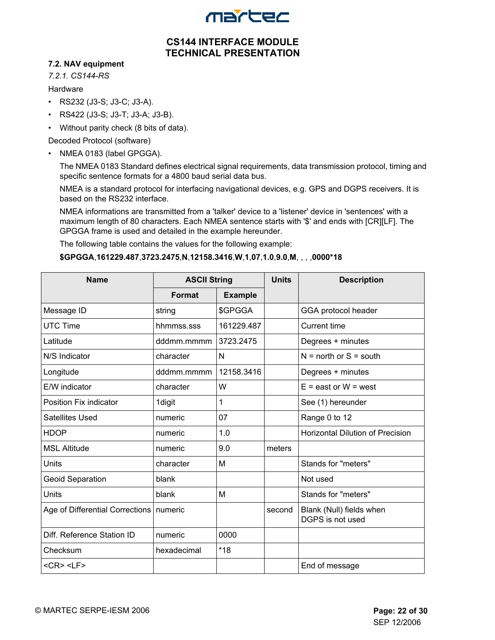

### <span id="page-27-0"></span>**7.2. NAV equipment**

### <span id="page-27-1"></span>*7.2.1. CS144-RS*

Hardware

- RS232 (J3-S; J3-C; J3-A).
- RS422 (J3-S; J3-T; J3-A; J3-B).
- Without parity check (8 bits of data).

Decoded Protocol (software)

• NMEA 0183 (label GPGGA).

The NMEA 0183 Standard defines electrical signal requirements, data transmission protocol, timing and specific sentence formats for a 4800 baud serial data bus.

NMEA is a standard protocol for interfacing navigational devices, e.g. GPS and DGPS receivers. It is based on the RS232 interface.

NMEA informations are transmitted from a 'talker' device to a 'listener' device in 'sentences' with a maximum length of 80 characters. Each NMEA sentence starts with '\$' and ends with [CR][LF]. The GPGGA frame is used and detailed in the example hereunder.

The following table contains the values for the following example:

### **\$GPGGA**,**161229.487**,**3723.2475**,**N**,**12158.3416**,**W**,**1**,**07**,**1.0**,**9.0**,**M**, , , ,**0000\*18**

| <b>Name</b>                     | <b>ASCII String</b> |                | <b>Units</b> | <b>Description</b>                           |
|---------------------------------|---------------------|----------------|--------------|----------------------------------------------|
|                                 | <b>Format</b>       | <b>Example</b> |              |                                              |
| Message ID                      | string              | \$GPGGA        |              | GGA protocol header                          |
| <b>UTC Time</b>                 | hhmmss.sss          | 161229.487     |              | Current time                                 |
| Latitude                        | dddmm.mmmm          | 3723.2475      |              | Degrees + minutes                            |
| N/S Indicator                   | character           | N              |              | $N =$ north or $S =$ south                   |
| Longitude                       | dddmm.mmmm          | 12158.3416     |              | Degrees + minutes                            |
| E/W indicator                   | character           | W              |              | $E =$ east or $W =$ west                     |
| Position Fix indicator          | 1digit              | 1              |              | See (1) hereunder                            |
| Satellites Used                 | numeric             | 07             |              | Range 0 to 12                                |
| <b>HDOP</b>                     | numeric             | 1.0            |              | <b>Horizontal Dilution of Precision</b>      |
| <b>MSL Altitude</b>             | numeric             | 9.0            | meters       |                                              |
| Units                           | character           | M              |              | Stands for "meters"                          |
| Geoid Separation                | blank               |                |              | Not used                                     |
| Units                           | blank               | M              |              | Stands for "meters"                          |
| Age of Differential Corrections | numeric             |                | second       | Blank (Null) fields when<br>DGPS is not used |
| Diff. Reference Station ID      | numeric             | 0000           |              |                                              |
| Checksum                        | hexadecimal         | $*18$          |              |                                              |
| $<$ CR> $<$ LF>                 |                     |                |              | End of message                               |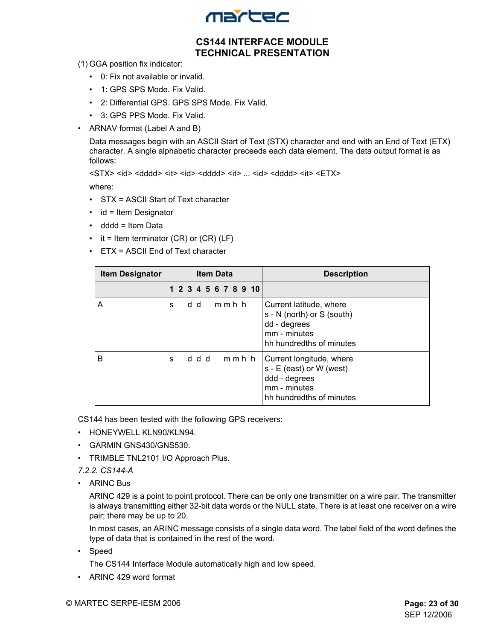

(1) GGA position fix indicator:

- 0: Fix not available or invalid.
- 1: GPS SPS Mode. Fix Valid.
- 2: Differential GPS. GPS SPS Mode. Fix Valid.
- 3: GPS PPS Mode. Fix Valid.
- ARNAV format (Label A and B)

Data messages begin with an ASCII Start of Text (STX) character and end with an End of Text (ETX) character. A single alphabetic character preceeds each data element. The data output format is as follows:

<STX> <id> <dddd> <it> <id> <dddd> <it> ... <id> <dddd> <it> <ETX>

where:

- STX = ASCII Start of Text character
- id = Item Designator
- dddd = Item Data
- it = Item terminator  $(CR)$  or  $(CR)$  (LF)
- ETX = ASCII End of Text character

| <b>Item Designator</b> |   |  |     | <b>Item Data</b> |  |                      | <b>Description</b>                                                                                                |
|------------------------|---|--|-----|------------------|--|----------------------|-------------------------------------------------------------------------------------------------------------------|
|                        |   |  |     |                  |  | 1 2 3 4 5 6 7 8 9 10 |                                                                                                                   |
| A                      | s |  | d d | mmhh             |  |                      | Current latitude, where<br>s - N (north) or S (south)<br>dd - degrees<br>mm - minutes<br>hh hundredths of minutes |
| B                      | s |  |     | ddd mmhh         |  |                      | Current longitude, where<br>s - E (east) or W (west)<br>ddd - degrees<br>mm - minutes<br>hh hundredths of minutes |

CS144 has been tested with the following GPS receivers:

- HONEYWELL KLN90/KLN94.
- GARMIN GNS430/GNS530.
- TRIMBLE TNL2101 I/O Approach Plus.

<span id="page-28-0"></span>*7.2.2. CS144-A*

• ARINC Bus

ARINC 429 is a point to point protocol. There can be only one transmitter on a wire pair. The transmitter is always transmitting either 32-bit data words or the NULL state. There is at least one receiver on a wire pair; there may be up to 20.

In most cases, an ARINC message consists of a single data word. The label field of the word defines the type of data that is contained in the rest of the word.

• Speed

The CS144 Interface Module automatically high and low speed.

• ARINC 429 word format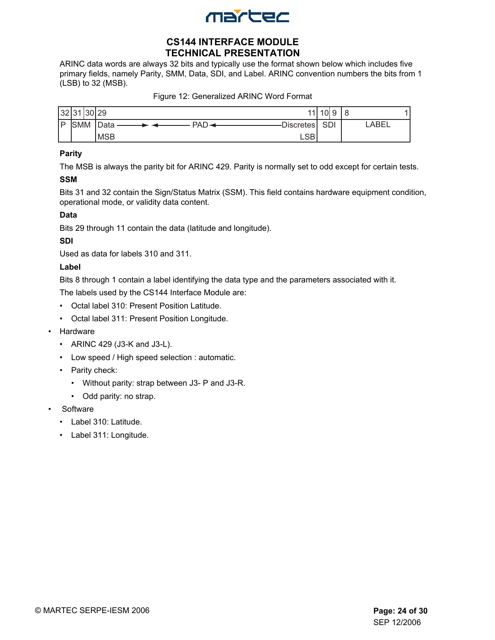

ARINC data words are always 32 bits and typically use the format shown below which includes five primary fields, namely Parity, SMM, Data, SDI, and Label. ARINC convention numbers the bits from 1 (LSB) to 32 (MSB).

Figure 12: Generalized ARINC Word Format

|     | 32 31 30 29 |            |  |      |           | $11$   10  9 | ◢     |
|-----|-------------|------------|--|------|-----------|--------------|-------|
| l D | <b>SMM</b>  | Data       |  | PAD- | Discretes | <b>SDI</b>   | LABEL |
|     |             | <b>MSB</b> |  |      | LSB       |              |       |

#### **Parity**

The MSB is always the parity bit for ARINC 429. Parity is normally set to odd except for certain tests.

#### **SSM**

Bits 31 and 32 contain the Sign/Status Matrix (SSM). This field contains hardware equipment condition, operational mode, or validity data content.

### **Data**

Bits 29 through 11 contain the data (latitude and longitude).

#### **SDI**

Used as data for labels 310 and 311.

#### **Label**

Bits 8 through 1 contain a label identifying the data type and the parameters associated with it.

The labels used by the CS144 Interface Module are:

- Octal label 310: Present Position Latitude.
- Octal label 311: Present Position Longitude.

### • Hardware

- ARINC 429 (J3-K and J3-L).
- Low speed / High speed selection : automatic.
- Parity check:
	- Without parity: strap between J3- P and J3-R.
	- Odd parity: no strap.
- Software
	- Label 310: Latitude.
	- Label 311: Longitude.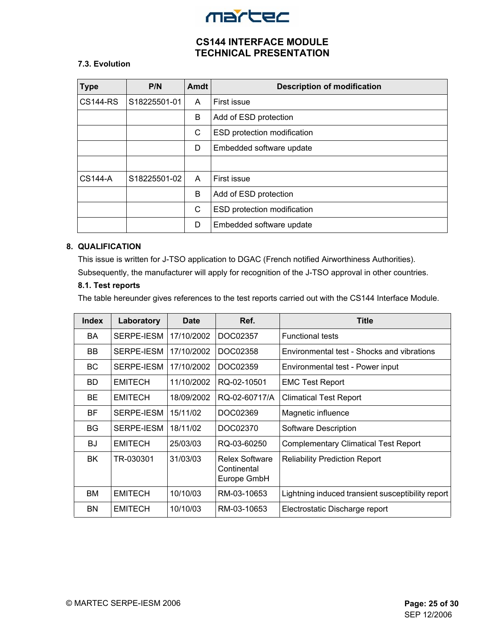

### <span id="page-30-0"></span>**7.3. Evolution**

| <b>Type</b>     | P/N          | Amdt | <b>Description of modification</b> |  |  |  |
|-----------------|--------------|------|------------------------------------|--|--|--|
| <b>CS144-RS</b> | S18225501-01 | A    | First issue                        |  |  |  |
|                 |              | B    | Add of ESD protection              |  |  |  |
|                 |              | C    | <b>ESD protection modification</b> |  |  |  |
|                 |              | D    | Embedded software update           |  |  |  |
|                 |              |      |                                    |  |  |  |
| <b>CS144-A</b>  | S18225501-02 | A    | First issue                        |  |  |  |
|                 |              | В    | Add of ESD protection              |  |  |  |
|                 |              | C    | ESD protection modification        |  |  |  |
|                 |              | D    | Embedded software update           |  |  |  |

#### <span id="page-30-1"></span>**8. QUALIFICATION**

This issue is written for J-TSO application to DGAC (French notified Airworthiness Authorities).

Subsequently, the manufacturer will apply for recognition of the J-TSO approval in other countries.

### <span id="page-30-2"></span>**8.1. Test reports**

The table hereunder gives references to the test reports carried out with the CS144 Interface Module.

| <b>Index</b> | Laboratory     | <b>Date</b> | Ref.                                                | <b>Title</b>                                      |
|--------------|----------------|-------------|-----------------------------------------------------|---------------------------------------------------|
| <b>BA</b>    | SERPE-IESM     | 17/10/2002  | DOC02357                                            | <b>Functional tests</b>                           |
| BB.          | SERPE-IESM     | 17/10/2002  | DOC02358                                            | Environmental test - Shocks and vibrations        |
| BC.          | SERPE-IESM     | 17/10/2002  | DOC02359                                            | Environmental test - Power input                  |
| <b>BD</b>    | <b>EMITECH</b> | 11/10/2002  | RQ-02-10501                                         | <b>EMC Test Report</b>                            |
| BE.          | <b>EMITECH</b> | 18/09/2002  | RQ-02-60717/A                                       | <b>Climatical Test Report</b>                     |
| ВF           | SERPE-IESM     | 15/11/02    | DOC02369                                            | Magnetic influence                                |
| <b>BG</b>    | SERPE-IESM     | 18/11/02    | DOC02370                                            | Software Description                              |
| BJ           | <b>EMITECH</b> | 25/03/03    | RQ-03-60250                                         | <b>Complementary Climatical Test Report</b>       |
| BK.          | TR-030301      | 31/03/03    | <b>Relex Software</b><br>Continental<br>Europe GmbH | <b>Reliability Prediction Report</b>              |
| <b>BM</b>    | <b>EMITECH</b> | 10/10/03    | RM-03-10653                                         | Lightning induced transient susceptibility report |
| BN           | <b>EMITECH</b> | 10/10/03    | RM-03-10653                                         | Electrostatic Discharge report                    |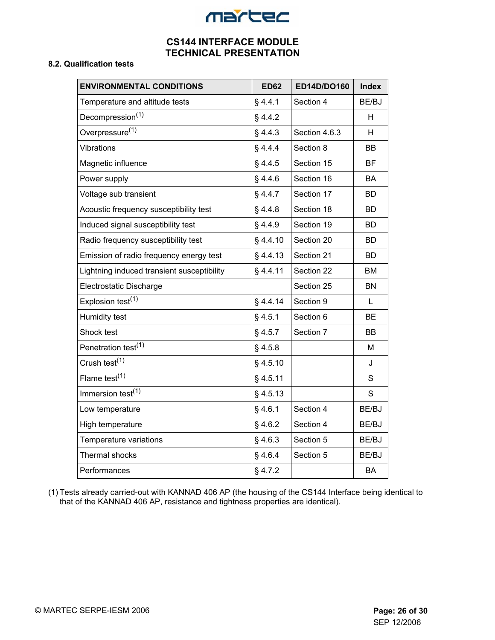

### <span id="page-31-0"></span>**8.2. Qualification tests**

| <b>ENVIRONMENTAL CONDITIONS</b>            | <b>ED62</b> | ED14D/DO160   | <b>Index</b> |
|--------------------------------------------|-------------|---------------|--------------|
| Temperature and altitude tests             | § 4.4.1     | Section 4     | BE/BJ        |
| Decompression <sup>(1)</sup>               | § 4.4.2     |               | H            |
| Overpressure <sup>(1)</sup>                | § 4.4.3     | Section 4.6.3 | н            |
| <b>Vibrations</b>                          | § 4.4.4     | Section 8     | <b>BB</b>    |
| Magnetic influence                         | § 4.4.5     | Section 15    | <b>BF</b>    |
| Power supply                               | § 4.4.6     | Section 16    | <b>BA</b>    |
| Voltage sub transient                      | § 4.4.7     | Section 17    | <b>BD</b>    |
| Acoustic frequency susceptibility test     | § 4.4.8     | Section 18    | <b>BD</b>    |
| Induced signal susceptibility test         | § 4.4.9     | Section 19    | <b>BD</b>    |
| Radio frequency susceptibility test        | § 4.4.10    | Section 20    | <b>BD</b>    |
| Emission of radio frequency energy test    | $§$ 4.4.13  | Section 21    | <b>BD</b>    |
| Lightning induced transient susceptibility | §4.4.11     | Section 22    | <b>BM</b>    |
| Electrostatic Discharge                    |             | Section 25    | <b>BN</b>    |
| Explosion test <sup>(1)</sup>              | $§$ 4.4.14  | Section 9     | L            |
| Humidity test                              | § 4.5.1     | Section 6     | <b>BE</b>    |
| Shock test                                 | § 4.5.7     | Section 7     | ΒB           |
| Penetration test <sup>(1)</sup>            | $§$ 4.5.8   |               | M            |
| Crush test <sup>(1)</sup>                  | $§$ 4.5.10  |               | J            |
| Flame test $(1)$                           | $§$ 4.5.11  |               | $\mathsf S$  |
| Immersion test <sup>(1)</sup>              | $§$ 4.5.13  |               | S            |
| Low temperature                            | § 4.6.1     | Section 4     | BE/BJ        |
| High temperature                           | § 4.6.2     | Section 4     | BE/BJ        |
| Temperature variations                     | § 4.6.3     | Section 5     | BE/BJ        |
| Thermal shocks                             | § 4.6.4     | Section 5     | BE/BJ        |
| Performances                               | § 4.7.2     |               | <b>BA</b>    |

(1) Tests already carried-out with KANNAD 406 AP (the housing of the CS144 Interface being identical to that of the KANNAD 406 AP, resistance and tightness properties are identical).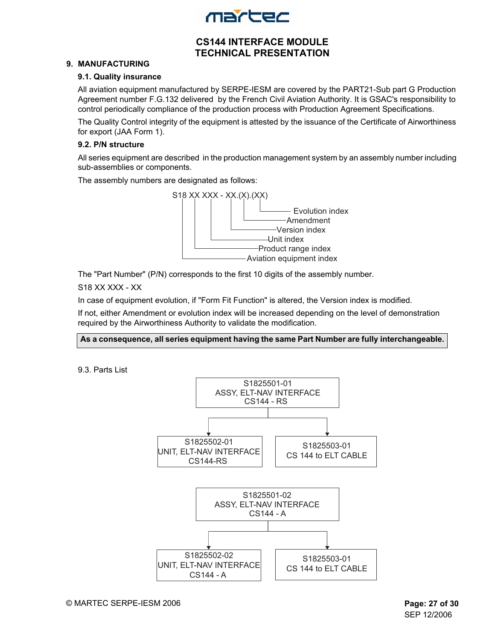

#### <span id="page-32-0"></span>**9. MANUFACTURING**

#### <span id="page-32-1"></span>**9.1. Quality insurance**

All aviation equipment manufactured by SERPE-IESM are covered by the PART21-Sub part G Production Agreement number F.G.132 delivered by the French Civil Aviation Authority. It is GSAC's responsibility to control periodically compliance of the production process with Production Agreement Specifications.

The Quality Control integrity of the equipment is attested by the issuance of the Certificate of Airworthiness for export (JAA Form 1).

#### <span id="page-32-2"></span>**9.2. P/N structure**

All series equipment are described in the production management system by an assembly number including sub-assemblies or components.

The assembly numbers are designated as follows:



The "Part Number" (P/N) corresponds to the first 10 digits of the assembly number.

S18 XX XXX - XX

In case of equipment evolution, if "Form Fit Function" is altered, the Version index is modified.

If not, either Amendment or evolution index will be increased depending on the level of demonstration required by the Airworthiness Authority to validate the modification.

#### **As a consequence, all series equipment having the same Part Number are fully interchangeable.**

<span id="page-32-3"></span>9.3. Parts List

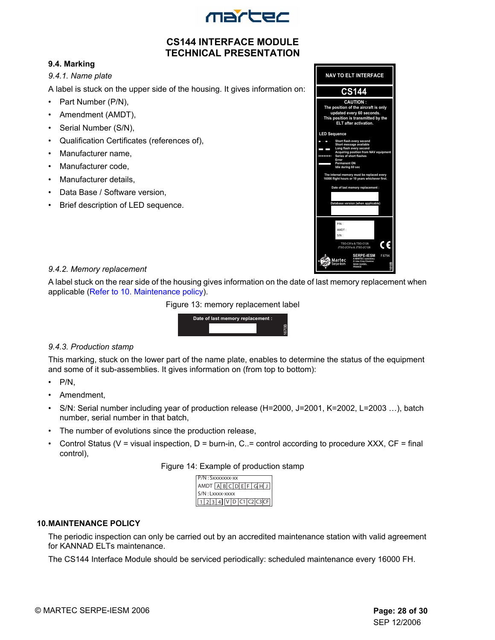

### <span id="page-33-0"></span>**9.4. Marking**

#### <span id="page-33-1"></span>*9.4.1. Name plate*

A label is stuck on the upper side of the housing. It gives information on:

- Part Number (P/N),
- Amendment (AMDT),
- Serial Number (S/N),
- Qualification Certificates (references of),
- Manufacturer name,
- Manufacturer code,
- Manufacturer details,
- Data Base / Software version,
- Brief description of LED sequence.

| <b>NAV TO ELT INTERFACE</b>                                                                                                                                                                                  |
|--------------------------------------------------------------------------------------------------------------------------------------------------------------------------------------------------------------|
| CS14<br>Λ                                                                                                                                                                                                    |
| <b>CAUTION:</b><br>The position of the aircraft is only<br>updated every 60 seconds.<br>This position is transmitted by the<br><b>ELT</b> after activation.                                                  |
| <b>LED Sequence</b>                                                                                                                                                                                          |
| Short flash every second<br>Short message available<br>Long flash every second<br>Acquiring position from NAV equipment<br>Series of short flashes<br><br>Error<br><b>Permanent ON</b><br>Idle during 60 sec |
| The internal memory must be replaced every<br>16000 flight hours or 10 years whichever first.                                                                                                                |
| Date of last memory replacement :<br>Database version (when applicable)                                                                                                                                      |
| $P/N$ .<br>AMDT -<br>S/N<br>TSO-C91a & TSO-C126                                                                                                                                                              |
| JTSO-2C91a & JTSO-2C126<br><b>SERPE-IESM</b><br>F8794<br>A MARTEC subsidiary<br>Martec<br>Z.I des Cinq Chemins<br>Serpe lesm<br><b>56520 GUIDEL</b><br><b><i>ERANCE</i></b>                                  |

### <span id="page-33-2"></span>*9.4.2. Memory replacement*

A label stuck on the rear side of the housing gives information on the date of last memory replacement when applicable ([Refer to 10. Maintenance policy](#page-33-4)).

Figure 13: memory replacement label



### <span id="page-33-3"></span>*9.4.3. Production stamp*

This marking, stuck on the lower part of the name plate, enables to determine the status of the equipment and some of it sub-assemblies. It gives information on (from top to bottom):

- $\cdot$  P/N.
- Amendment,
- S/N: Serial number including year of production release (H=2000, J=2001, K=2002, L=2003 …), batch number, serial number in that batch,
- The number of evolutions since the production release,
- Control Status (V = visual inspection,  $D =$  burn-in,  $C =$  control according to procedure XXX,  $CF =$  final control),

Figure 14: Example of production stamp

| P/N: SXXXXXXX-XX                           |  |  |  |  |  |
|--------------------------------------------|--|--|--|--|--|
| $AMDT$ $A$ $B$ $C$ $D$ $E$ $F$ $G$ $H$ $J$ |  |  |  |  |  |
| S/N: Lxxxx-xxxx                            |  |  |  |  |  |
| 1 2 3 4 V D C1 C2 C3 CF                    |  |  |  |  |  |

### <span id="page-33-4"></span>**10.MAINTENANCE POLICY**

The periodic inspection can only be carried out by an accredited maintenance station with valid agreement for KANNAD ELTs maintenance.

The CS144 Interface Module should be serviced periodically: scheduled maintenance every 16000 FH.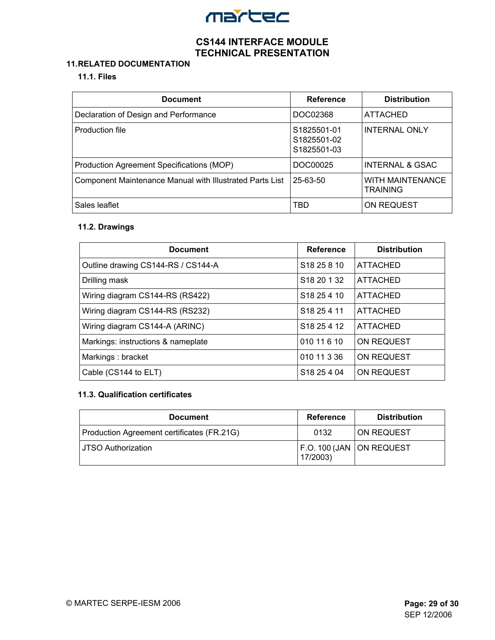

### <span id="page-34-0"></span>**11.RELATED DOCUMENTATION**

### <span id="page-34-1"></span>**11.1. Files**

| <b>Document</b>                                          | <b>Reference</b>                          | <b>Distribution</b>                        |
|----------------------------------------------------------|-------------------------------------------|--------------------------------------------|
| Declaration of Design and Performance                    | DOC02368                                  | <b>ATTACHED</b>                            |
| Production file                                          | S1825501-01<br>S1825501-02<br>S1825501-03 | <b>INTERNAL ONLY</b>                       |
| Production Agreement Specifications (MOP)                | DOC00025                                  | <b>INTERNAL &amp; GSAC</b>                 |
| Component Maintenance Manual with Illustrated Parts List | 25-63-50                                  | <b>WITH MAINTENANCE</b><br><b>TRAINING</b> |
| Sales leaflet                                            | TBD                                       | ON REQUEST                                 |

### <span id="page-34-2"></span>**11.2. Drawings**

| <b>Document</b>                    | <b>Reference</b>        | <b>Distribution</b> |
|------------------------------------|-------------------------|---------------------|
| Outline drawing CS144-RS / CS144-A | S <sub>18</sub> 25 8 10 | <b>ATTACHED</b>     |
| Drilling mask                      | S <sub>18</sub> 20 1 32 | <b>ATTACHED</b>     |
| Wiring diagram CS144-RS (RS422)    | S <sub>18</sub> 25 4 10 | <b>ATTACHED</b>     |
| Wiring diagram CS144-RS (RS232)    | S <sub>18</sub> 25 4 11 | <b>ATTACHED</b>     |
| Wiring diagram CS144-A (ARINC)     | S <sub>18</sub> 25 4 12 | <b>ATTACHED</b>     |
| Markings: instructions & nameplate | 010 11 6 10             | ON REQUEST          |
| Markings: bracket                  | 010 11 3 36             | ON REQUEST          |
| Cable (CS144 to ELT)               | S <sub>18</sub> 25 4 04 | ON REQUEST          |

### <span id="page-34-3"></span>**11.3. Qualification certificates**

| <b>Document</b>                            | <b>Reference</b> | <b>Distribution</b>      |
|--------------------------------------------|------------------|--------------------------|
| Production Agreement certificates (FR.21G) | 0132             | <b>ON REQUEST</b>        |
| <b>IJTSO Authorization</b>                 | 17/2003)         | F.O. 100 (JAN ON REQUEST |